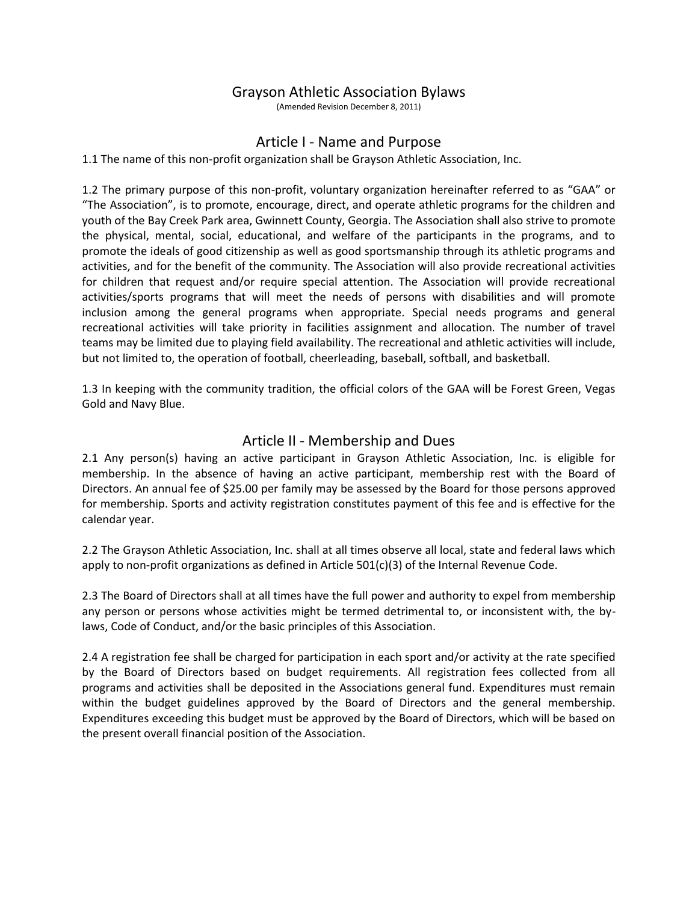# Grayson Athletic Association Bylaws

(Amended Revision December 8, 2011)

#### Article I - Name and Purpose

1.1 The name of this non-profit organization shall be Grayson Athletic Association, Inc.

1.2 The primary purpose of this non-profit, voluntary organization hereinafter referred to as "GAA" or "The Association", is to promote, encourage, direct, and operate athletic programs for the children and youth of the Bay Creek Park area, Gwinnett County, Georgia. The Association shall also strive to promote the physical, mental, social, educational, and welfare of the participants in the programs, and to promote the ideals of good citizenship as well as good sportsmanship through its athletic programs and activities, and for the benefit of the community. The Association will also provide recreational activities for children that request and/or require special attention. The Association will provide recreational activities/sports programs that will meet the needs of persons with disabilities and will promote inclusion among the general programs when appropriate. Special needs programs and general recreational activities will take priority in facilities assignment and allocation. The number of travel teams may be limited due to playing field availability. The recreational and athletic activities will include, but not limited to, the operation of football, cheerleading, baseball, softball, and basketball.

1.3 In keeping with the community tradition, the official colors of the GAA will be Forest Green, Vegas Gold and Navy Blue.

## Article II - Membership and Dues

2.1 Any person(s) having an active participant in Grayson Athletic Association, Inc. is eligible for membership. In the absence of having an active participant, membership rest with the Board of Directors. An annual fee of \$25.00 per family may be assessed by the Board for those persons approved for membership. Sports and activity registration constitutes payment of this fee and is effective for the calendar year.

2.2 The Grayson Athletic Association, Inc. shall at all times observe all local, state and federal laws which apply to non-profit organizations as defined in Article 501(c)(3) of the Internal Revenue Code.

2.3 The Board of Directors shall at all times have the full power and authority to expel from membership any person or persons whose activities might be termed detrimental to, or inconsistent with, the bylaws, Code of Conduct, and/or the basic principles of this Association.

2.4 A registration fee shall be charged for participation in each sport and/or activity at the rate specified by the Board of Directors based on budget requirements. All registration fees collected from all programs and activities shall be deposited in the Associations general fund. Expenditures must remain within the budget guidelines approved by the Board of Directors and the general membership. Expenditures exceeding this budget must be approved by the Board of Directors, which will be based on the present overall financial position of the Association.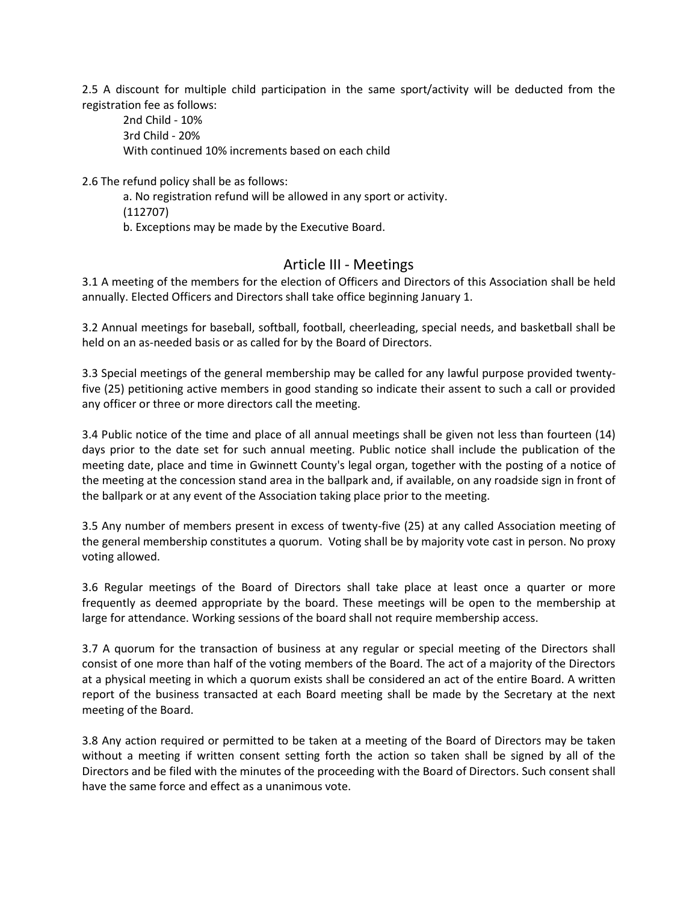2.5 A discount for multiple child participation in the same sport/activity will be deducted from the registration fee as follows:

2nd Child - 10% 3rd Child - 20% With continued 10% increments based on each child

2.6 The refund policy shall be as follows:

a. No registration refund will be allowed in any sport or activity. (112707)

b. Exceptions may be made by the Executive Board.

# Article III - Meetings

3.1 A meeting of the members for the election of Officers and Directors of this Association shall be held annually. Elected Officers and Directors shall take office beginning January 1.

3.2 Annual meetings for baseball, softball, football, cheerleading, special needs, and basketball shall be held on an as-needed basis or as called for by the Board of Directors.

3.3 Special meetings of the general membership may be called for any lawful purpose provided twentyfive (25) petitioning active members in good standing so indicate their assent to such a call or provided any officer or three or more directors call the meeting.

3.4 Public notice of the time and place of all annual meetings shall be given not less than fourteen (14) days prior to the date set for such annual meeting. Public notice shall include the publication of the meeting date, place and time in Gwinnett County's legal organ, together with the posting of a notice of the meeting at the concession stand area in the ballpark and, if available, on any roadside sign in front of the ballpark or at any event of the Association taking place prior to the meeting.

3.5 Any number of members present in excess of twenty-five (25) at any called Association meeting of the general membership constitutes a quorum. Voting shall be by majority vote cast in person. No proxy voting allowed.

3.6 Regular meetings of the Board of Directors shall take place at least once a quarter or more frequently as deemed appropriate by the board. These meetings will be open to the membership at large for attendance. Working sessions of the board shall not require membership access.

3.7 A quorum for the transaction of business at any regular or special meeting of the Directors shall consist of one more than half of the voting members of the Board. The act of a majority of the Directors at a physical meeting in which a quorum exists shall be considered an act of the entire Board. A written report of the business transacted at each Board meeting shall be made by the Secretary at the next meeting of the Board.

3.8 Any action required or permitted to be taken at a meeting of the Board of Directors may be taken without a meeting if written consent setting forth the action so taken shall be signed by all of the Directors and be filed with the minutes of the proceeding with the Board of Directors. Such consent shall have the same force and effect as a unanimous vote.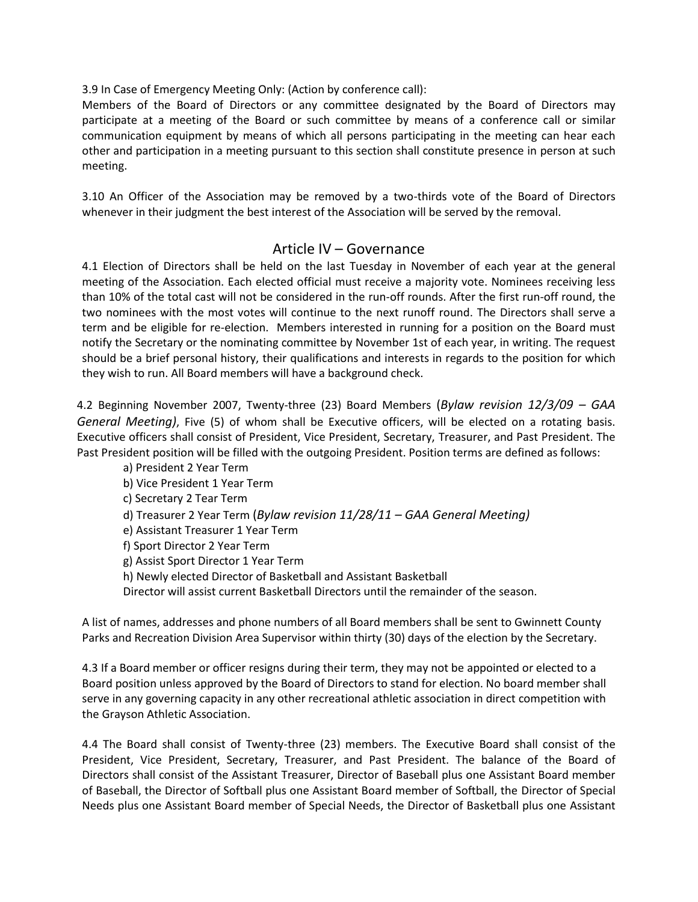3.9 In Case of Emergency Meeting Only: (Action by conference call):

Members of the Board of Directors or any committee designated by the Board of Directors may participate at a meeting of the Board or such committee by means of a conference call or similar communication equipment by means of which all persons participating in the meeting can hear each other and participation in a meeting pursuant to this section shall constitute presence in person at such meeting.

3.10 An Officer of the Association may be removed by a two-thirds vote of the Board of Directors whenever in their judgment the best interest of the Association will be served by the removal.

## Article IV – Governance

4.1 Election of Directors shall be held on the last Tuesday in November of each year at the general meeting of the Association. Each elected official must receive a majority vote. Nominees receiving less than 10% of the total cast will not be considered in the run-off rounds. After the first run-off round, the two nominees with the most votes will continue to the next runoff round. The Directors shall serve a term and be eligible for re-election. Members interested in running for a position on the Board must notify the Secretary or the nominating committee by November 1st of each year, in writing. The request should be a brief personal history, their qualifications and interests in regards to the position for which they wish to run. All Board members will have a background check.

4.2 Beginning November 2007, Twenty-three (23) Board Members (*Bylaw revision 12/3/09 – GAA General Meeting)*, Five (5) of whom shall be Executive officers, will be elected on a rotating basis. Executive officers shall consist of President, Vice President, Secretary, Treasurer, and Past President. The Past President position will be filled with the outgoing President. Position terms are defined as follows:

a) President 2 Year Term b) Vice President 1 Year Term c) Secretary 2 Tear Term d) Treasurer 2 Year Term (*Bylaw revision 11/28/11 – GAA General Meeting)* e) Assistant Treasurer 1 Year Term f) Sport Director 2 Year Term g) Assist Sport Director 1 Year Term h) Newly elected Director of Basketball and Assistant Basketball Director will assist current Basketball Directors until the remainder of the season.

A list of names, addresses and phone numbers of all Board members shall be sent to Gwinnett County Parks and Recreation Division Area Supervisor within thirty (30) days of the election by the Secretary.

4.3 If a Board member or officer resigns during their term, they may not be appointed or elected to a Board position unless approved by the Board of Directors to stand for election. No board member shall serve in any governing capacity in any other recreational athletic association in direct competition with the Grayson Athletic Association.

4.4 The Board shall consist of Twenty-three (23) members. The Executive Board shall consist of the President, Vice President, Secretary, Treasurer, and Past President. The balance of the Board of Directors shall consist of the Assistant Treasurer, Director of Baseball plus one Assistant Board member of Baseball, the Director of Softball plus one Assistant Board member of Softball, the Director of Special Needs plus one Assistant Board member of Special Needs, the Director of Basketball plus one Assistant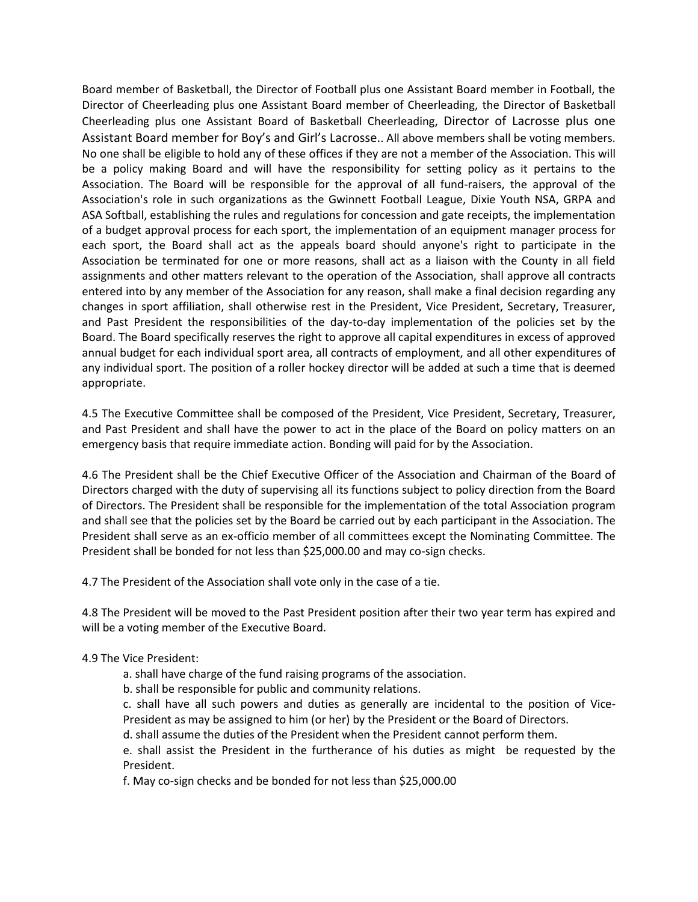Board member of Basketball, the Director of Football plus one Assistant Board member in Football, the Director of Cheerleading plus one Assistant Board member of Cheerleading, the Director of Basketball Cheerleading plus one Assistant Board of Basketball Cheerleading, Director of Lacrosse plus one Assistant Board member for Boy's and Girl's Lacrosse.. All above members shall be voting members. No one shall be eligible to hold any of these offices if they are not a member of the Association. This will be a policy making Board and will have the responsibility for setting policy as it pertains to the Association. The Board will be responsible for the approval of all fund-raisers, the approval of the Association's role in such organizations as the Gwinnett Football League, Dixie Youth NSA, GRPA and ASA Softball, establishing the rules and regulations for concession and gate receipts, the implementation of a budget approval process for each sport, the implementation of an equipment manager process for each sport, the Board shall act as the appeals board should anyone's right to participate in the Association be terminated for one or more reasons, shall act as a liaison with the County in all field assignments and other matters relevant to the operation of the Association, shall approve all contracts entered into by any member of the Association for any reason, shall make a final decision regarding any changes in sport affiliation, shall otherwise rest in the President, Vice President, Secretary, Treasurer, and Past President the responsibilities of the day-to-day implementation of the policies set by the Board. The Board specifically reserves the right to approve all capital expenditures in excess of approved annual budget for each individual sport area, all contracts of employment, and all other expenditures of any individual sport. The position of a roller hockey director will be added at such a time that is deemed appropriate.

4.5 The Executive Committee shall be composed of the President, Vice President, Secretary, Treasurer, and Past President and shall have the power to act in the place of the Board on policy matters on an emergency basis that require immediate action. Bonding will paid for by the Association.

4.6 The President shall be the Chief Executive Officer of the Association and Chairman of the Board of Directors charged with the duty of supervising all its functions subject to policy direction from the Board of Directors. The President shall be responsible for the implementation of the total Association program and shall see that the policies set by the Board be carried out by each participant in the Association. The President shall serve as an ex-officio member of all committees except the Nominating Committee. The President shall be bonded for not less than \$25,000.00 and may co-sign checks.

4.7 The President of the Association shall vote only in the case of a tie.

4.8 The President will be moved to the Past President position after their two year term has expired and will be a voting member of the Executive Board.

#### 4.9 The Vice President:

- a. shall have charge of the fund raising programs of the association.
- b. shall be responsible for public and community relations.
- c. shall have all such powers and duties as generally are incidental to the position of Vice-President as may be assigned to him (or her) by the President or the Board of Directors.
- d. shall assume the duties of the President when the President cannot perform them.
- e. shall assist the President in the furtherance of his duties as might be requested by the President.
- f. May co-sign checks and be bonded for not less than \$25,000.00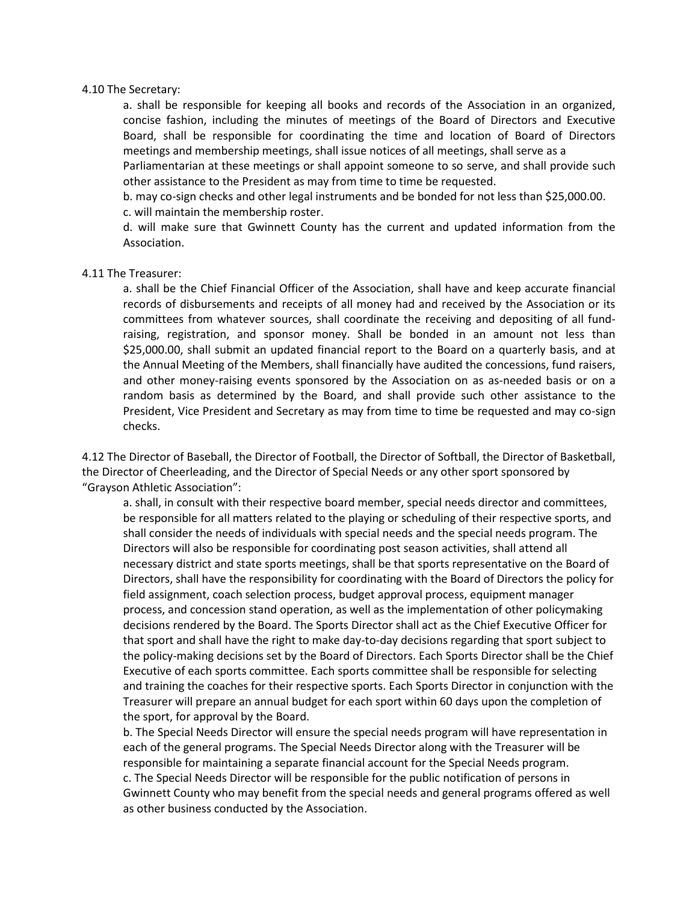#### 4.10 The Secretary:

a. shall be responsible for keeping all books and records of the Association in an organized, concise fashion, including the minutes of meetings of the Board of Directors and Executive Board, shall be responsible for coordinating the time and location of Board of Directors meetings and membership meetings, shall issue notices of all meetings, shall serve as a

Parliamentarian at these meetings or shall appoint someone to so serve, and shall provide such other assistance to the President as may from time to time be requested.

b. may co-sign checks and other legal instruments and be bonded for not less than \$25,000.00. c. will maintain the membership roster.

d. will make sure that Gwinnett County has the current and updated information from the Association.

#### 4.11 The Treasurer:

a. shall be the Chief Financial Officer of the Association, shall have and keep accurate financial records of disbursements and receipts of all money had and received by the Association or its committees from whatever sources, shall coordinate the receiving and depositing of all fundraising, registration, and sponsor money. Shall be bonded in an amount not less than \$25,000.00, shall submit an updated financial report to the Board on a quarterly basis, and at the Annual Meeting of the Members, shall financially have audited the concessions, fund raisers, and other money-raising events sponsored by the Association on as as-needed basis or on a random basis as determined by the Board, and shall provide such other assistance to the President, Vice President and Secretary as may from time to time be requested and may co-sign checks.

4.12 The Director of Baseball, the Director of Football, the Director of Softball, the Director of Basketball, the Director of Cheerleading, and the Director of Special Needs or any other sport sponsored by "Grayson Athletic Association":

a. shall, in consult with their respective board member, special needs director and committees, be responsible for all matters related to the playing or scheduling of their respective sports, and shall consider the needs of individuals with special needs and the special needs program. The Directors will also be responsible for coordinating post season activities, shall attend all necessary district and state sports meetings, shall be that sports representative on the Board of Directors, shall have the responsibility for coordinating with the Board of Directors the policy for field assignment, coach selection process, budget approval process, equipment manager process, and concession stand operation, as well as the implementation of other policymaking decisions rendered by the Board. The Sports Director shall act as the Chief Executive Officer for that sport and shall have the right to make day-to-day decisions regarding that sport subject to the policy-making decisions set by the Board of Directors. Each Sports Director shall be the Chief Executive of each sports committee. Each sports committee shall be responsible for selecting and training the coaches for their respective sports. Each Sports Director in conjunction with the Treasurer will prepare an annual budget for each sport within 60 days upon the completion of the sport, for approval by the Board.

b. The Special Needs Director will ensure the special needs program will have representation in each of the general programs. The Special Needs Director along with the Treasurer will be responsible for maintaining a separate financial account for the Special Needs program. c. The Special Needs Director will be responsible for the public notification of persons in Gwinnett County who may benefit from the special needs and general programs offered as well as other business conducted by the Association.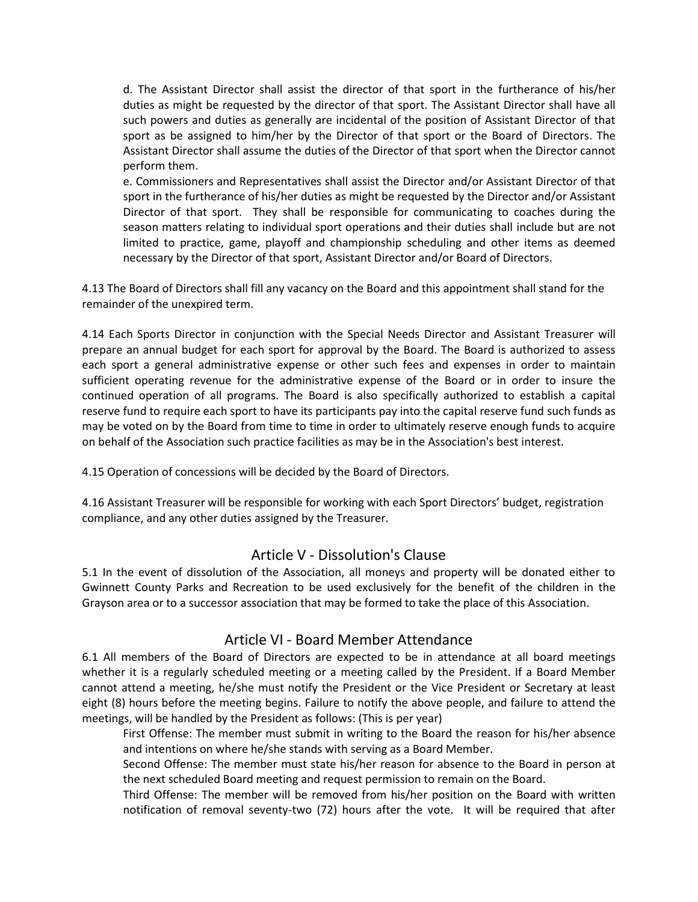d. The Assistant Director shall assist the director of that sport in the furtherance of his/her duties as might be requested by the director of that sport. The Assistant Director shall have all such powers and duties as generally are incidental of the position of Assistant Director of that sport as be assigned to him/her by the Director of that sport or the Board of Directors. The Assistant Director shall assume the duties of the Director of that sport when the Director cannot perform them.

e. Commissioners and Representatives shall assist the Director and/or Assistant Director of that sport in the furtherance of his/her duties as might be requested by the Director and/or Assistant Director of that sport. They shall be responsible for communicating to coaches during the season matters relating to individual sport operations and their duties shall include but are not limited to practice, game, playoff and championship scheduling and other items as deemed necessary by the Director of that sport, Assistant Director and/or Board of Directors.

4.13 The Board of Directors shall fill any vacancy on the Board and this appointment shall stand for the remainder of the unexpired term.

4.14 Each Sports Director in conjunction with the Special Needs Director and Assistant Treasurer will prepare an annual budget for each sport for approval by the Board. The Board is authorized to assess each sport a general administrative expense or other such fees and expenses in order to maintain sufficient operating revenue for the administrative expense of the Board or in order to insure the continued operation of all programs. The Board is also specifically authorized to establish a capital reserve fund to require each sport to have its participants pay into the capital reserve fund such funds as may be voted on by the Board from time to time in order to ultimately reserve enough funds to acquire on behalf of the Association such practice facilities as may be in the Association's best interest.

4.15 Operation of concessions will be decided by the Board of Directors.

4.16 Assistant Treasurer will be responsible for working with each Sport Directors' budget, registration compliance, and any other duties assigned by the Treasurer.

## Article V - Dissolution's Clause

5.1 In the event of dissolution of the Association, all moneys and property will be donated either to Gwinnett County Parks and Recreation to be used exclusively for the benefit of the children in the Grayson area or to a successor association that may be formed to take the place of this Association.

## Article VI - Board Member Attendance

6.1 All members of the Board of Directors are expected to be in attendance at all board meetings whether it is a regularly scheduled meeting or a meeting called by the President. If a Board Member cannot attend a meeting, he/she must notify the President or the Vice President or Secretary at least eight (8) hours before the meeting begins. Failure to notify the above people, and failure to attend the meetings, will be handled by the President as follows: (This is per year)

First Offense: The member must submit in writing to the Board the reason for his/her absence and intentions on where he/she stands with serving as a Board Member.

Second Offense: The member must state his/her reason for absence to the Board in person at the next scheduled Board meeting and request permission to remain on the Board.

Third Offense: The member will be removed from his/her position on the Board with written notification of removal seventy-two (72) hours after the vote. It will be required that after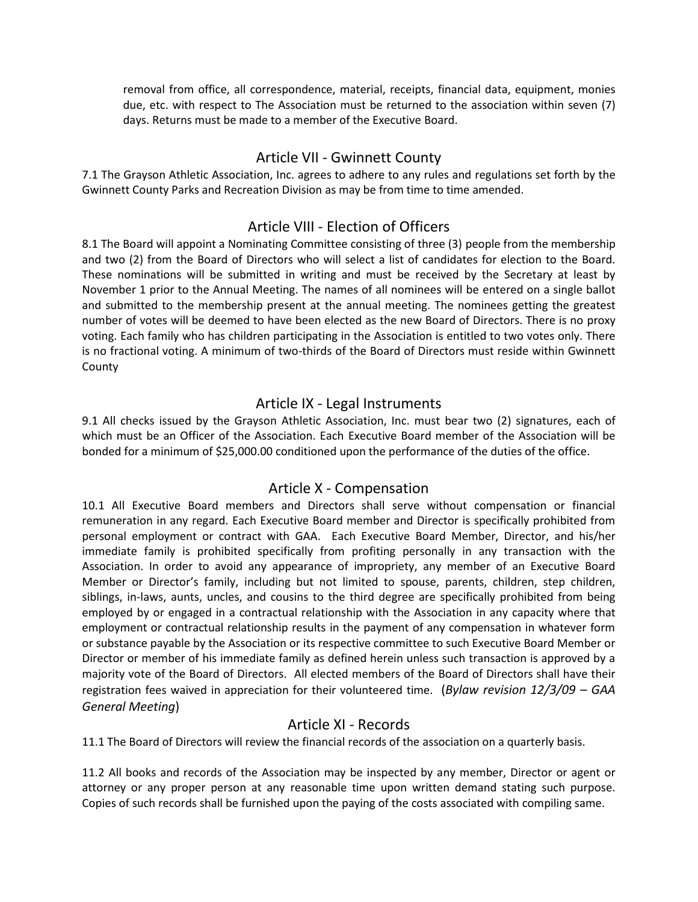removal from office, all correspondence, material, receipts, financial data, equipment, monies due, etc. with respect to The Association must be returned to the association within seven (7) days. Returns must be made to a member of the Executive Board.

#### Article VII - Gwinnett County

7.1 The Grayson Athletic Association, Inc. agrees to adhere to any rules and regulations set forth by the Gwinnett County Parks and Recreation Division as may be from time to time amended.

#### Article VIII - Election of Officers

8.1 The Board will appoint a Nominating Committee consisting of three (3) people from the membership and two (2) from the Board of Directors who will select a list of candidates for election to the Board. These nominations will be submitted in writing and must be received by the Secretary at least by November 1 prior to the Annual Meeting. The names of all nominees will be entered on a single ballot and submitted to the membership present at the annual meeting. The nominees getting the greatest number of votes will be deemed to have been elected as the new Board of Directors. There is no proxy voting. Each family who has children participating in the Association is entitled to two votes only. There is no fractional voting. A minimum of two-thirds of the Board of Directors must reside within Gwinnett **County** 

## Article IX - Legal Instruments

9.1 All checks issued by the Grayson Athletic Association, Inc. must bear two (2) signatures, each of which must be an Officer of the Association. Each Executive Board member of the Association will be bonded for a minimum of \$25,000.00 conditioned upon the performance of the duties of the office.

#### Article X - Compensation

10.1 All Executive Board members and Directors shall serve without compensation or financial remuneration in any regard. Each Executive Board member and Director is specifically prohibited from personal employment or contract with GAA. Each Executive Board Member, Director, and his/her immediate family is prohibited specifically from profiting personally in any transaction with the Association. In order to avoid any appearance of impropriety, any member of an Executive Board Member or Director's family, including but not limited to spouse, parents, children, step children, siblings, in-laws, aunts, uncles, and cousins to the third degree are specifically prohibited from being employed by or engaged in a contractual relationship with the Association in any capacity where that employment or contractual relationship results in the payment of any compensation in whatever form or substance payable by the Association or its respective committee to such Executive Board Member or Director or member of his immediate family as defined herein unless such transaction is approved by a majority vote of the Board of Directors. All elected members of the Board of Directors shall have their registration fees waived in appreciation for their volunteered time. (*Bylaw revision 12/3/09 – GAA General Meeting*)

#### Article XI - Records

11.1 The Board of Directors will review the financial records of the association on a quarterly basis.

11.2 All books and records of the Association may be inspected by any member, Director or agent or attorney or any proper person at any reasonable time upon written demand stating such purpose. Copies of such records shall be furnished upon the paying of the costs associated with compiling same.